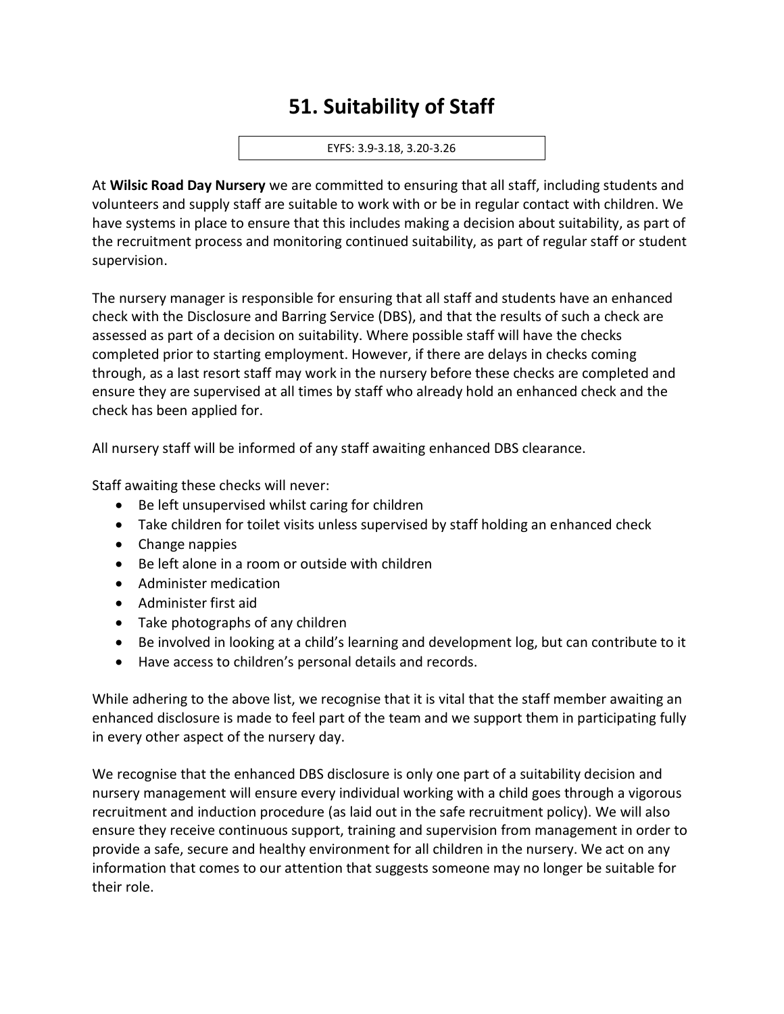## **51. Suitability of Staff**

## EYFS: 3.9-3.18, 3.20-3.26

At **Wilsic Road Day Nursery** we are committed to ensuring that all staff, including students and volunteers and supply staff are suitable to work with or be in regular contact with children. We have systems in place to ensure that this includes making a decision about suitability, as part of the recruitment process and monitoring continued suitability, as part of regular staff or student supervision.

The nursery manager is responsible for ensuring that all staff and students have an enhanced check with the Disclosure and Barring Service (DBS), and that the results of such a check are assessed as part of a decision on suitability. Where possible staff will have the checks completed prior to starting employment. However, if there are delays in checks coming through, as a last resort staff may work in the nursery before these checks are completed and ensure they are supervised at all times by staff who already hold an enhanced check and the check has been applied for.

All nursery staff will be informed of any staff awaiting enhanced DBS clearance.

Staff awaiting these checks will never:

- Be left unsupervised whilst caring for children
- Take children for toilet visits unless supervised by staff holding an enhanced check
- Change nappies
- Be left alone in a room or outside with children
- Administer medication
- Administer first aid
- Take photographs of any children
- Be involved in looking at a child's learning and development log, but can contribute to it
- Have access to children's personal details and records.

While adhering to the above list, we recognise that it is vital that the staff member awaiting an enhanced disclosure is made to feel part of the team and we support them in participating fully in every other aspect of the nursery day.

We recognise that the enhanced DBS disclosure is only one part of a suitability decision and nursery management will ensure every individual working with a child goes through a vigorous recruitment and induction procedure (as laid out in the safe recruitment policy). We will also ensure they receive continuous support, training and supervision from management in order to provide a safe, secure and healthy environment for all children in the nursery. We act on any information that comes to our attention that suggests someone may no longer be suitable for their role.